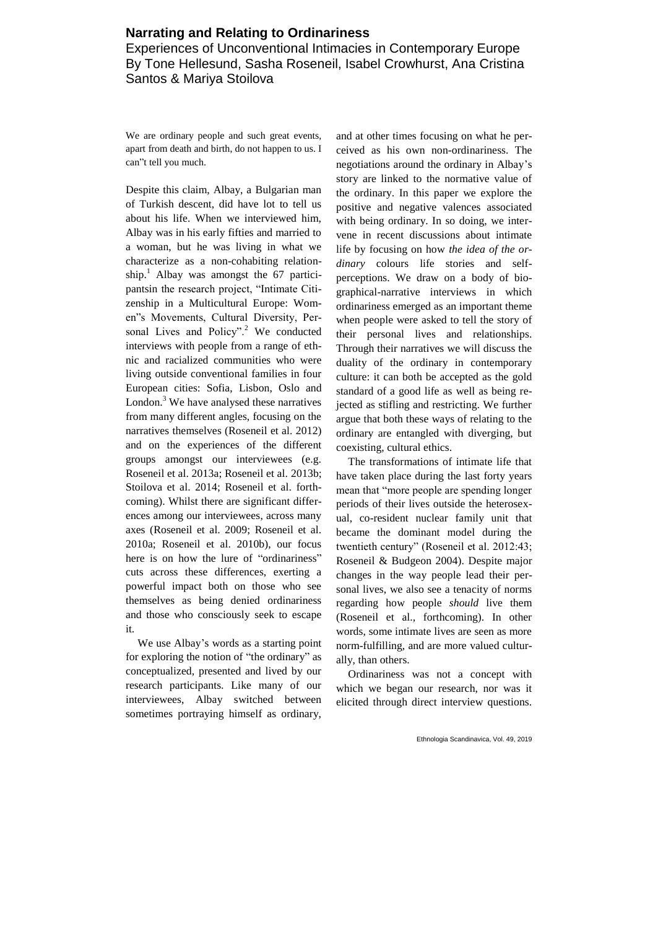# **Narrating and Relating to Ordinariness**

Experiences of Unconventional Intimacies in Contemporary Europe By Tone Hellesund, Sasha Roseneil, Isabel Crowhurst, Ana Cristina Santos & Mariya Stoilova

We are ordinary people and such great events, apart from death and birth, do not happen to us. I can"t tell you much.

Despite this claim, Albay, a Bulgarian man of Turkish descent, did have lot to tell us about his life. When we interviewed him, Albay was in his early fifties and married to a woman, but he was living in what we characterize as a non-cohabiting relationship.<sup>1</sup> Albay was amongst the 67 participantsin the research project, "Intimate Citizenship in a Multicultural Europe: Women"s Movements, Cultural Diversity, Personal Lives and Policy".<sup>2</sup> We conducted interviews with people from a range of ethnic and racialized communities who were living outside conventional families in four European cities: Sofia, Lisbon, Oslo and London. $3$  We have analysed these narratives from many different angles, focusing on the narratives themselves (Roseneil et al. 2012) and on the experiences of the different groups amongst our interviewees (e.g. Roseneil et al. 2013a; Roseneil et al. 2013b; Stoilova et al. 2014; Roseneil et al. forthcoming). Whilst there are significant differences among our interviewees, across many axes (Roseneil et al. 2009; Roseneil et al. 2010a; Roseneil et al. 2010b), our focus here is on how the lure of "ordinariness" cuts across these differences, exerting a powerful impact both on those who see themselves as being denied ordinariness and those who consciously seek to escape it.

We use Albay's words as a starting point for exploring the notion of "the ordinary" as conceptualized, presented and lived by our research participants. Like many of our interviewees, Albay switched between sometimes portraying himself as ordinary,

and at other times focusing on what he perceived as his own non-ordinariness. The negotiations around the ordinary in Albay's story are linked to the normative value of the ordinary. In this paper we explore the positive and negative valences associated with being ordinary. In so doing, we intervene in recent discussions about intimate life by focusing on how *the idea of the ordinary* colours life stories and selfperceptions. We draw on a body of biographical-narrative interviews in which ordinariness emerged as an important theme when people were asked to tell the story of their personal lives and relationships. Through their narratives we will discuss the duality of the ordinary in contemporary culture: it can both be accepted as the gold standard of a good life as well as being rejected as stifling and restricting. We further argue that both these ways of relating to the ordinary are entangled with diverging, but coexisting, cultural ethics.

The transformations of intimate life that have taken place during the last forty years mean that "more people are spending longer periods of their lives outside the heterosexual, co-resident nuclear family unit that became the dominant model during the twentieth century" (Roseneil et al. 2012:43; Roseneil & Budgeon 2004). Despite major changes in the way people lead their personal lives, we also see a tenacity of norms regarding how people *should* live them (Roseneil et al., forthcoming). In other words, some intimate lives are seen as more norm-fulfilling, and are more valued culturally, than others.

Ordinariness was not a concept with which we began our research, nor was it elicited through direct interview questions.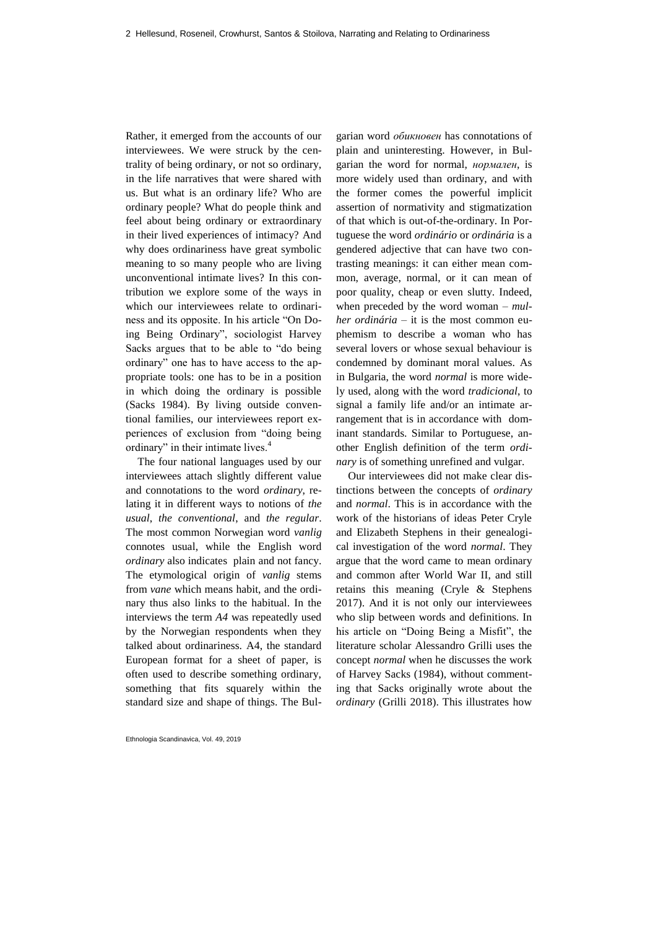Rather, it emerged from the accounts of our interviewees. We were struck by the centrality of being ordinary, or not so ordinary, in the life narratives that were shared with us. But what is an ordinary life? Who are ordinary people? What do people think and feel about being ordinary or extraordinary in their lived experiences of intimacy? And why does ordinariness have great symbolic meaning to so many people who are living unconventional intimate lives? In this contribution we explore some of the ways in which our interviewees relate to ordinariness and its opposite. In his article "On Doing Being Ordinary", sociologist Harvey Sacks argues that to be able to "do being ordinary" one has to have access to the appropriate tools: one has to be in a position in which doing the ordinary is possible (Sacks 1984). By living outside conventional families, our interviewees report experiences of exclusion from "doing being ordinary" in their intimate lives.<sup>4</sup>

The four national languages used by our interviewees attach slightly different value and connotations to the word *ordinary*, relating it in different ways to notions of *the usual*, *the conventional*, and *the regular*. The most common Norwegian word *vanlig* connotes usual, while the English word *ordinary* also indicates plain and not fancy. The etymological origin of *vanlig* stems from *vane* which means habit, and the ordinary thus also links to the habitual. In the interviews the term *A4* was repeatedly used by the Norwegian respondents when they talked about ordinariness. A4, the standard European format for a sheet of paper, is often used to describe something ordinary, something that fits squarely within the standard size and shape of things. The Bul-

Ethnologia Scandinavica, Vol. 49, 2019

garian word *обикновен* has connotations of plain and uninteresting. However, in Bulgarian the word for normal, *нормален*, is more widely used than ordinary, and with the former comes the powerful implicit assertion of normativity and stigmatization of that which is out-of-the-ordinary. In Portuguese the word *ordinário* or *ordinária* is a gendered adjective that can have two contrasting meanings: it can either mean common, average, normal, or it can mean of poor quality, cheap or even slutty. Indeed, when preceded by the word woman – *mulher ordinária* – it is the most common euphemism to describe a woman who has several lovers or whose sexual behaviour is condemned by dominant moral values. As in Bulgaria, the word *normal* is more widely used, along with the word *tradicional*, to signal a family life and/or an intimate arrangement that is in accordance with dominant standards. Similar to Portuguese, another English definition of the term *ordinary* is of something unrefined and vulgar.

Our interviewees did not make clear distinctions between the concepts of *ordinary* and *normal*. This is in accordance with the work of the historians of ideas Peter Cryle and Elizabeth Stephens in their genealogical investigation of the word *normal*. They argue that the word came to mean ordinary and common after World War II, and still retains this meaning (Cryle & Stephens 2017). And it is not only our interviewees who slip between words and definitions. In his article on "Doing Being a Misfit", the literature scholar Alessandro Grilli uses the concept *normal* when he discusses the work of Harvey Sacks (1984), without commenting that Sacks originally wrote about the *ordinary* (Grilli 2018). This illustrates how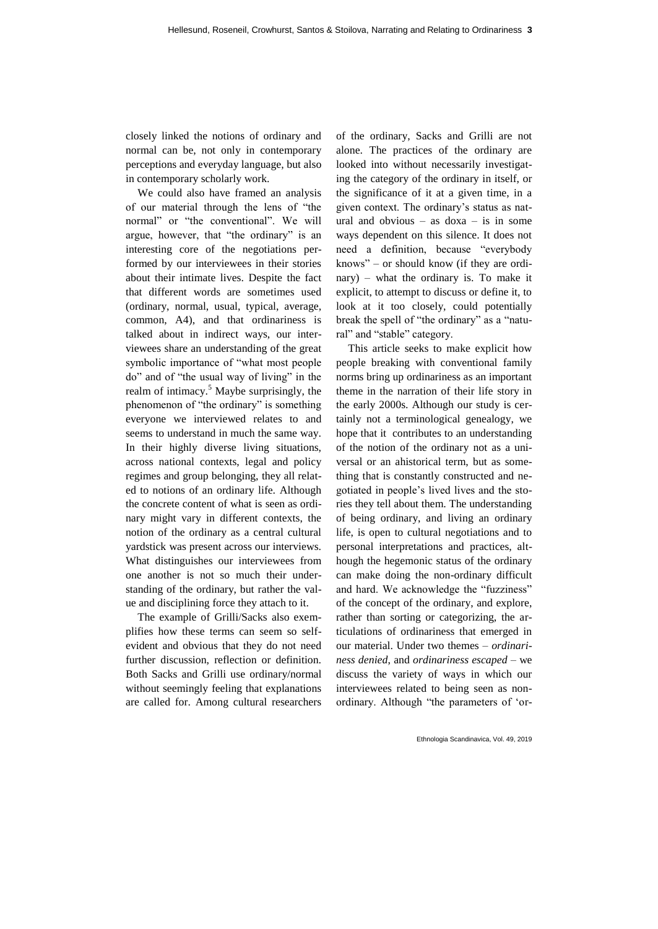closely linked the notions of ordinary and normal can be, not only in contemporary perceptions and everyday language, but also in contemporary scholarly work.

We could also have framed an analysis of our material through the lens of "the normal" or "the conventional". We will argue, however, that "the ordinary" is an interesting core of the negotiations performed by our interviewees in their stories about their intimate lives. Despite the fact that different words are sometimes used (ordinary, normal, usual, typical, average, common, A4), and that ordinariness is talked about in indirect ways, our interviewees share an understanding of the great symbolic importance of "what most people do" and of "the usual way of living" in the realm of intimacy.<sup>5</sup> Maybe surprisingly, the phenomenon of "the ordinary" is something everyone we interviewed relates to and seems to understand in much the same way. In their highly diverse living situations, across national contexts, legal and policy regimes and group belonging, they all related to notions of an ordinary life. Although the concrete content of what is seen as ordinary might vary in different contexts, the notion of the ordinary as a central cultural yardstick was present across our interviews. What distinguishes our interviewees from one another is not so much their understanding of the ordinary, but rather the value and disciplining force they attach to it.

The example of Grilli/Sacks also exemplifies how these terms can seem so selfevident and obvious that they do not need further discussion, reflection or definition. Both Sacks and Grilli use ordinary/normal without seemingly feeling that explanations are called for. Among cultural researchers of the ordinary, Sacks and Grilli are not alone. The practices of the ordinary are looked into without necessarily investigating the category of the ordinary in itself, or the significance of it at a given time, in a given context. The ordinary's status as natural and obvious – as  $d$ oxa – is in some ways dependent on this silence. It does not need a definition, because "everybody knows" – or should know (if they are ordinary) – what the ordinary is. To make it explicit, to attempt to discuss or define it, to look at it too closely, could potentially break the spell of "the ordinary" as a "natural" and "stable" category.

This article seeks to make explicit how people breaking with conventional family norms bring up ordinariness as an important theme in the narration of their life story in the early 2000s. Although our study is certainly not a terminological genealogy, we hope that it contributes to an understanding of the notion of the ordinary not as a universal or an ahistorical term, but as something that is constantly constructed and negotiated in people's lived lives and the stories they tell about them. The understanding of being ordinary, and living an ordinary life, is open to cultural negotiations and to personal interpretations and practices, although the hegemonic status of the ordinary can make doing the non-ordinary difficult and hard. We acknowledge the "fuzziness" of the concept of the ordinary, and explore, rather than sorting or categorizing, the articulations of ordinariness that emerged in our material. Under two themes – *ordinariness denied*, and *ordinariness escaped* – we discuss the variety of ways in which our interviewees related to being seen as nonordinary. Although "the parameters of 'or-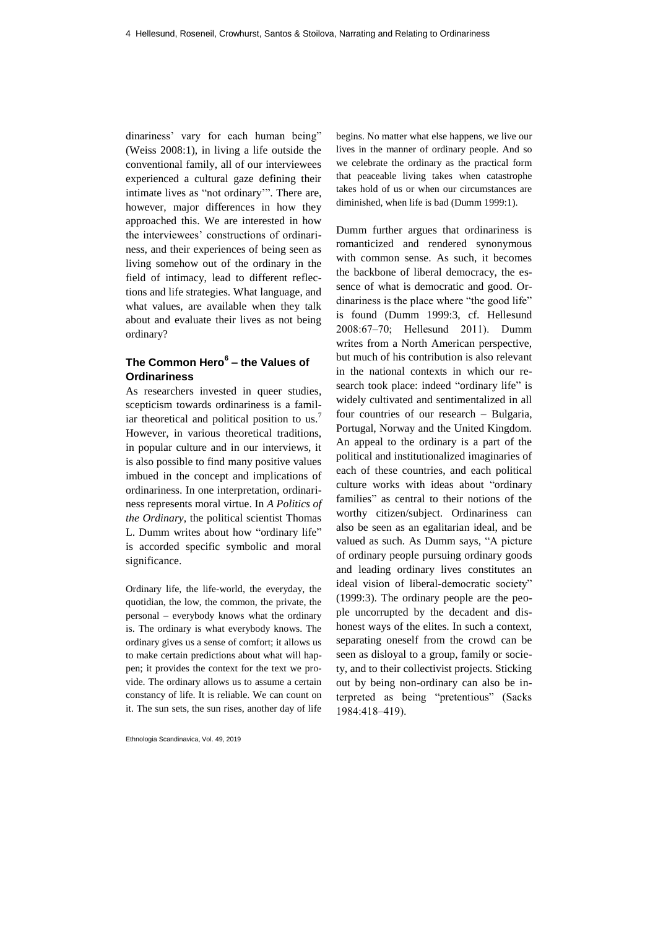dinariness' vary for each human being" (Weiss 2008:1), in living a life outside the conventional family, all of our interviewees experienced a cultural gaze defining their intimate lives as "not ordinary'". There are, however, major differences in how they approached this. We are interested in how the interviewees' constructions of ordinariness, and their experiences of being seen as living somehow out of the ordinary in the field of intimacy, lead to different reflections and life strategies. What language, and what values, are available when they talk about and evaluate their lives as not being ordinary?

# **The Common Hero<sup>6</sup> – the Values of Ordinariness**

As researchers invested in queer studies, scepticism towards ordinariness is a familiar theoretical and political position to us.<sup>7</sup> However, in various theoretical traditions, in popular culture and in our interviews, it is also possible to find many positive values imbued in the concept and implications of ordinariness. In one interpretation, ordinariness represents moral virtue. In *A Politics of the Ordinary*, the political scientist Thomas L. Dumm writes about how "ordinary life" is accorded specific symbolic and moral significance.

Ordinary life, the life-world, the everyday, the quotidian, the low, the common, the private, the personal – everybody knows what the ordinary is. The ordinary is what everybody knows. The ordinary gives us a sense of comfort; it allows us to make certain predictions about what will happen; it provides the context for the text we provide. The ordinary allows us to assume a certain constancy of life. It is reliable. We can count on it. The sun sets, the sun rises, another day of life

Ethnologia Scandinavica, Vol. 49, 2019

begins. No matter what else happens, we live our lives in the manner of ordinary people. And so we celebrate the ordinary as the practical form that peaceable living takes when catastrophe takes hold of us or when our circumstances are diminished, when life is bad (Dumm 1999:1).

Dumm further argues that ordinariness is romanticized and rendered synonymous with common sense. As such, it becomes the backbone of liberal democracy, the essence of what is democratic and good. Ordinariness is the place where "the good life" is found (Dumm 1999:3, cf. Hellesund 2008:67‒70; Hellesund 2011). Dumm writes from a North American perspective, but much of his contribution is also relevant in the national contexts in which our research took place: indeed "ordinary life" is widely cultivated and sentimentalized in all four countries of our research – Bulgaria, Portugal, Norway and the United Kingdom. An appeal to the ordinary is a part of the political and institutionalized imaginaries of each of these countries, and each political culture works with ideas about "ordinary families" as central to their notions of the worthy citizen/subject. Ordinariness can also be seen as an egalitarian ideal, and be valued as such. As Dumm says, "A picture of ordinary people pursuing ordinary goods and leading ordinary lives constitutes an ideal vision of liberal-democratic society" (1999:3). The ordinary people are the people uncorrupted by the decadent and dishonest ways of the elites. In such a context, separating oneself from the crowd can be seen as disloyal to a group, family or society, and to their collectivist projects. Sticking out by being non-ordinary can also be interpreted as being "pretentious" (Sacks 1984:418‒419).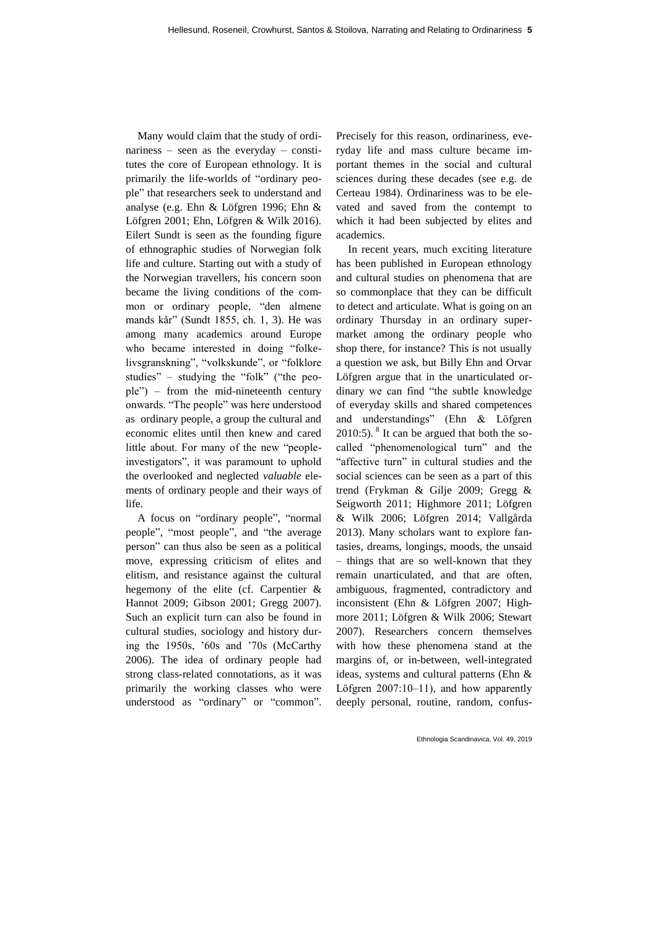Many would claim that the study of ordinariness – seen as the everyday – constitutes the core of European ethnology. It is primarily the life-worlds of "ordinary people" that researchers seek to understand and analyse (e.g. Ehn & Löfgren 1996; Ehn & Löfgren 2001; Ehn, Löfgren & Wilk 2016). Eilert Sundt is seen as the founding figure of ethnographic studies of Norwegian folk life and culture. Starting out with a study of the Norwegian travellers, his concern soon became the living conditions of the common or ordinary people, "den almene mands kår" (Sundt 1855, ch. 1, 3). He was among many academics around Europe who became interested in doing "folkelivsgranskning", "volkskunde", or "folklore studies" – studying the "folk" ("the people") – from the mid-nineteenth century onwards. "The people" was here understood as ordinary people, a group the cultural and economic elites until then knew and cared little about. For many of the new "peopleinvestigators", it was paramount to uphold the overlooked and neglected *valuable* elements of ordinary people and their ways of life.

A focus on "ordinary people", "normal people", "most people", and "the average person" can thus also be seen as a political move, expressing criticism of elites and elitism, and resistance against the cultural hegemony of the elite (cf. Carpentier & Hannot 2009; Gibson 2001; Gregg 2007). Such an explicit turn can also be found in cultural studies, sociology and history during the 1950s, '60s and '70s (McCarthy 2006). The idea of ordinary people had strong class-related connotations, as it was primarily the working classes who were understood as "ordinary" or "common". Precisely for this reason, ordinariness, everyday life and mass culture became important themes in the social and cultural sciences during these decades (see e.g. de Certeau 1984). Ordinariness was to be elevated and saved from the contempt to which it had been subjected by elites and academics.

In recent years, much exciting literature has been published in European ethnology and cultural studies on phenomena that are so commonplace that they can be difficult to detect and articulate. What is going on an ordinary Thursday in an ordinary supermarket among the ordinary people who shop there, for instance? This is not usually a question we ask, but Billy Ehn and Orvar Löfgren argue that in the unarticulated ordinary we can find "the subtle knowledge of everyday skills and shared competences and understandings" (Ehn & Löfgren  $2010:5$ ). <sup>8</sup> It can be argued that both the socalled "phenomenological turn" and the "affective turn" in cultural studies and the social sciences can be seen as a part of this trend (Frykman & Gilje 2009; Gregg & Seigworth 2011; Highmore 2011; Löfgren & Wilk 2006; Löfgren 2014; Vallgårda 2013). Many scholars want to explore fantasies, dreams, longings, moods, the unsaid – things that are so well-known that they remain unarticulated, and that are often, ambiguous, fragmented, contradictory and inconsistent (Ehn & Löfgren 2007; Highmore 2011; Löfgren & Wilk 2006; Stewart 2007). Researchers concern themselves with how these phenomena stand at the margins of, or in-between, well-integrated ideas, systems and cultural patterns (Ehn & Löfgren 2007:10-11), and how apparently deeply personal, routine, random, confus-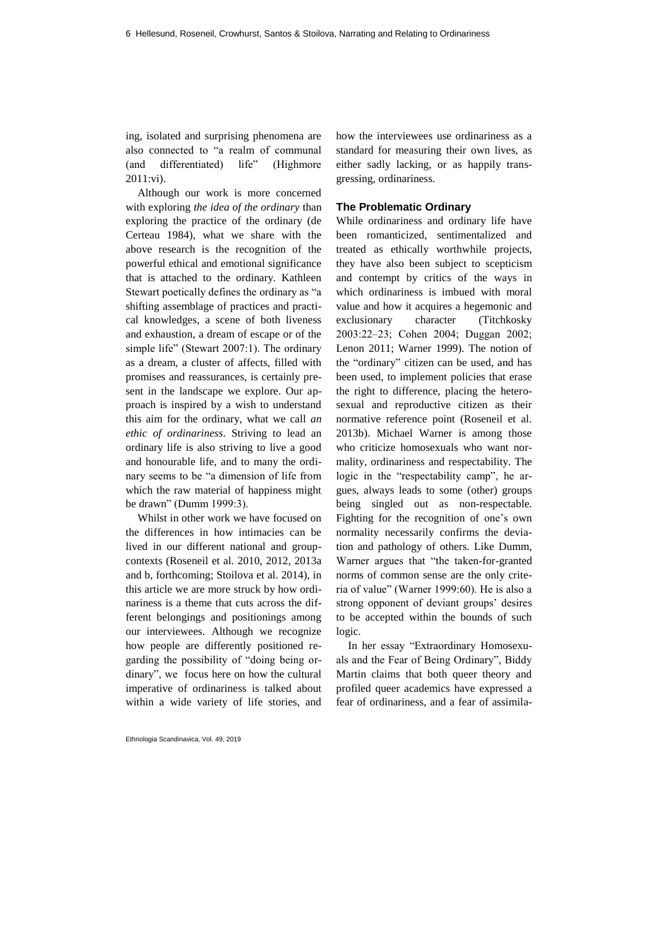ing, isolated and surprising phenomena are also connected to "a realm of communal (and differentiated) life" (Highmore 2011:vi).

Although our work is more concerned with exploring *the idea of the ordinary* than exploring the practice of the ordinary (de Certeau 1984), what we share with the above research is the recognition of the powerful ethical and emotional significance that is attached to the ordinary. Kathleen Stewart poetically defines the ordinary as "a shifting assemblage of practices and practical knowledges, a scene of both liveness and exhaustion, a dream of escape or of the simple life" (Stewart 2007:1). The ordinary as a dream, a cluster of affects, filled with promises and reassurances, is certainly present in the landscape we explore. Our approach is inspired by a wish to understand this aim for the ordinary, what we call *an ethic of ordinariness*. Striving to lead an ordinary life is also striving to live a good and honourable life, and to many the ordinary seems to be "a dimension of life from which the raw material of happiness might be drawn" (Dumm 1999:3).

Whilst in other work we have focused on the differences in how intimacies can be lived in our different national and groupcontexts (Roseneil et al. 2010, 2012, 2013a and b, forthcoming; Stoilova et al. 2014), in this article we are more struck by how ordinariness is a theme that cuts across the different belongings and positionings among our interviewees. Although we recognize how people are differently positioned regarding the possibility of "doing being ordinary", we focus here on how the cultural imperative of ordinariness is talked about within a wide variety of life stories, and

Ethnologia Scandinavica, Vol. 49, 2019

how the interviewees use ordinariness as a standard for measuring their own lives, as either sadly lacking, or as happily transgressing, ordinariness.

### **The Problematic Ordinary**

While ordinariness and ordinary life have been romanticized, sentimentalized and treated as ethically worthwhile projects, they have also been subject to scepticism and contempt by critics of the ways in which ordinariness is imbued with moral value and how it acquires a hegemonic and exclusionary character (Titchkosky 2003:22‒23; Cohen 2004; Duggan 2002; Lenon 2011; Warner 1999). The notion of the "ordinary" citizen can be used, and has been used, to implement policies that erase the right to difference, placing the heterosexual and reproductive citizen as their normative reference point (Roseneil et al. 2013b). Michael Warner is among those who criticize homosexuals who want normality, ordinariness and respectability. The logic in the "respectability camp", he argues, always leads to some (other) groups being singled out as non-respectable. Fighting for the recognition of one's own normality necessarily confirms the deviation and pathology of others. Like Dumm, Warner argues that "the taken-for-granted norms of common sense are the only criteria of value" (Warner 1999:60). He is also a strong opponent of deviant groups' desires to be accepted within the bounds of such logic.

In her essay "Extraordinary Homosexuals and the Fear of Being Ordinary", Biddy Martin claims that both queer theory and profiled queer academics have expressed a fear of ordinariness, and a fear of assimila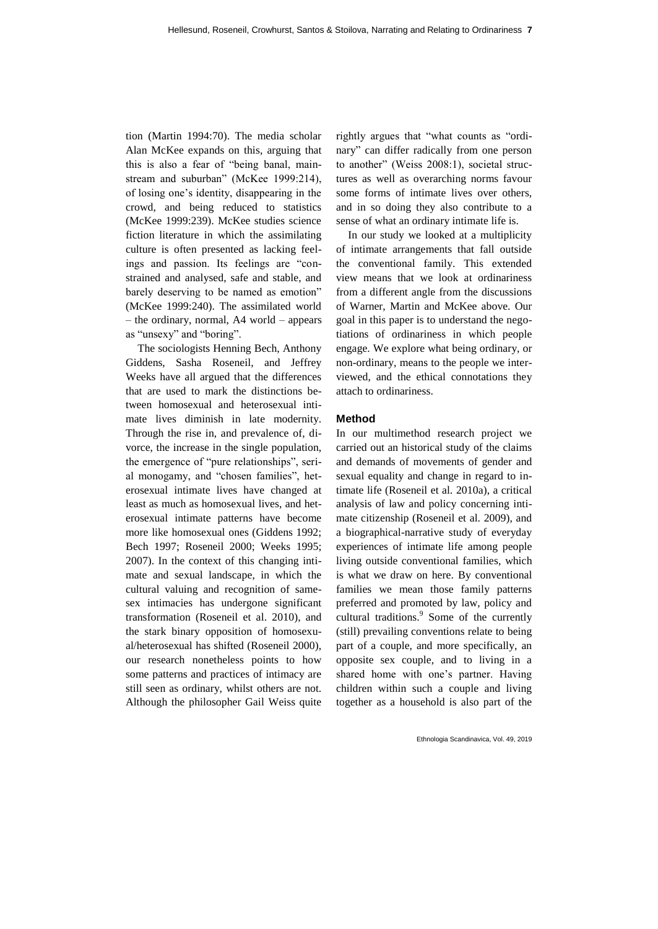tion (Martin 1994:70). The media scholar Alan McKee expands on this, arguing that this is also a fear of "being banal, mainstream and suburban" (McKee 1999:214), of losing one's identity, disappearing in the crowd, and being reduced to statistics (McKee 1999:239). McKee studies science fiction literature in which the assimilating culture is often presented as lacking feelings and passion. Its feelings are "constrained and analysed, safe and stable, and barely deserving to be named as emotion" (McKee 1999:240). The assimilated world – the ordinary, normal, A4 world – appears as "unsexy" and "boring".

The sociologists Henning Bech, Anthony Giddens, Sasha Roseneil, and Jeffrey Weeks have all argued that the differences that are used to mark the distinctions between homosexual and heterosexual intimate lives diminish in late modernity. Through the rise in, and prevalence of, divorce, the increase in the single population, the emergence of "pure relationships", serial monogamy, and "chosen families", heterosexual intimate lives have changed at least as much as homosexual lives, and heterosexual intimate patterns have become more like homosexual ones (Giddens 1992; Bech 1997; Roseneil 2000; Weeks 1995; 2007). In the context of this changing intimate and sexual landscape, in which the cultural valuing and recognition of samesex intimacies has undergone significant transformation (Roseneil et al. 2010), and the stark binary opposition of homosexual/heterosexual has shifted (Roseneil 2000), our research nonetheless points to how some patterns and practices of intimacy are still seen as ordinary, whilst others are not. Although the philosopher Gail Weiss quite rightly argues that "what counts as "ordinary" can differ radically from one person to another" (Weiss 2008:1), societal structures as well as overarching norms favour some forms of intimate lives over others, and in so doing they also contribute to a sense of what an ordinary intimate life is.

In our study we looked at a multiplicity of intimate arrangements that fall outside the conventional family. This extended view means that we look at ordinariness from a different angle from the discussions of Warner, Martin and McKee above. Our goal in this paper is to understand the negotiations of ordinariness in which people engage. We explore what being ordinary, or non-ordinary, means to the people we interviewed, and the ethical connotations they attach to ordinariness.

## **Method**

In our multimethod research project we carried out an historical study of the claims and demands of movements of gender and sexual equality and change in regard to intimate life (Roseneil et al. 2010a), a critical analysis of law and policy concerning intimate citizenship (Roseneil et al. 2009), and a biographical-narrative study of everyday experiences of intimate life among people living outside conventional families, which is what we draw on here. By conventional families we mean those family patterns preferred and promoted by law, policy and cultural traditions.<sup>9</sup> Some of the currently (still) prevailing conventions relate to being part of a couple, and more specifically, an opposite sex couple, and to living in a shared home with one's partner. Having children within such a couple and living together as a household is also part of the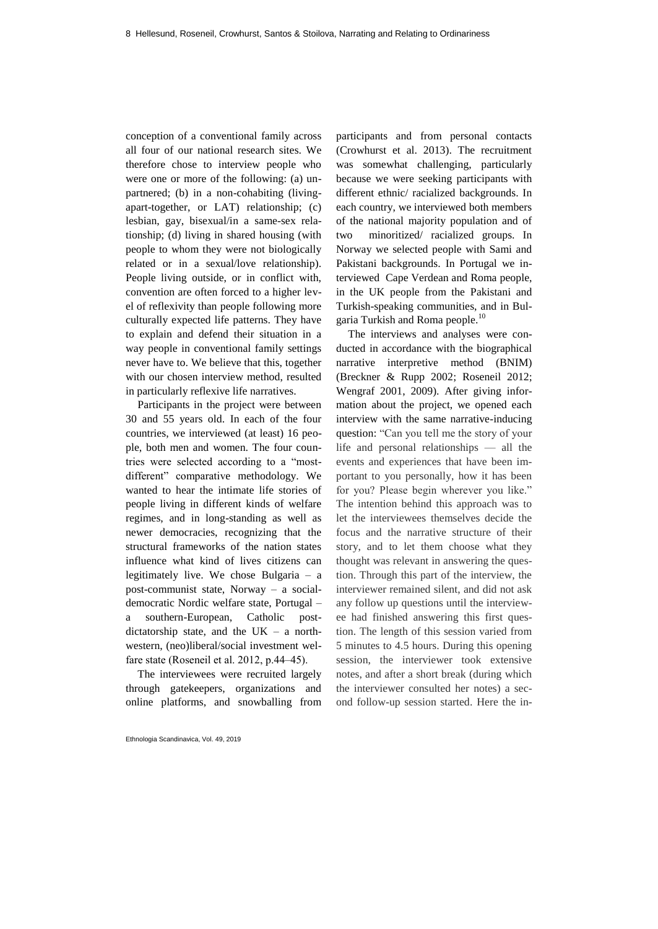conception of a conventional family across all four of our national research sites. We therefore chose to interview people who were one or more of the following: (a) unpartnered; (b) in a non-cohabiting (livingapart-together, or LAT) relationship; (c) lesbian, gay, bisexual/in a same-sex relationship; (d) living in shared housing (with people to whom they were not biologically related or in a sexual/love relationship). People living outside, or in conflict with, convention are often forced to a higher level of reflexivity than people following more culturally expected life patterns. They have to explain and defend their situation in a way people in conventional family settings never have to. We believe that this, together with our chosen interview method, resulted in particularly reflexive life narratives.

Participants in the project were between 30 and 55 years old. In each of the four countries, we interviewed (at least) 16 people, both men and women. The four countries were selected according to a "mostdifferent" comparative methodology. We wanted to hear the intimate life stories of people living in different kinds of welfare regimes, and in long-standing as well as newer democracies, recognizing that the structural frameworks of the nation states influence what kind of lives citizens can legitimately live. We chose Bulgaria – a post-communist state, Norway – a socialdemocratic Nordic welfare state, Portugal – a southern-European, Catholic postdictatorship state, and the  $UK - a$  northwestern, (neo)liberal/social investment welfare state (Roseneil et al. 2012, p.44–45).

The interviewees were recruited largely through gatekeepers, organizations and online platforms, and snowballing from

Ethnologia Scandinavica, Vol. 49, 2019

participants and from personal contacts (Crowhurst et al. 2013). The recruitment was somewhat challenging, particularly because we were seeking participants with different ethnic/ racialized backgrounds. In each country, we interviewed both members of the national majority population and of two minoritized/ racialized groups. In Norway we selected people with Sami and Pakistani backgrounds. In Portugal we interviewed Cape Verdean and Roma people, in the UK people from the Pakistani and Turkish-speaking communities, and in Bulgaria Turkish and Roma people.<sup>10</sup>

The interviews and analyses were conducted in accordance with the biographical narrative interpretive method (BNIM) [\(Breckner & Rupp 2002;](http://www.sciencedirect.com.pva.uib.no/science/article/pii/S0277539512000398#bb0015) Roseneil 2012; [Wengraf 2001,](http://www.sciencedirect.com.pva.uib.no/science/article/pii/S0277539512000398#bb0060) [2009\)](http://www.sciencedirect.com.pva.uib.no/science/article/pii/S0277539512000398#bb0065). After giving information about the project, we opened each interview with the same narrative-inducing question: "Can you tell me the story of your life and personal relationships — all the events and experiences that have been important to you personally, how it has been for you? Please begin wherever you like." The intention behind this approach was to let the interviewees themselves decide the focus and the narrative structure of their story, and to let them choose what they thought was relevant in answering the question. Through this part of the interview, the interviewer remained silent, and did not ask any follow up questions until the interviewee had finished answering this first question. The length of this session varied from 5 minutes to 4.5 hours. During this opening session, the interviewer took extensive notes, and after a short break (during which the interviewer consulted her notes) a second follow-up session started. Here the in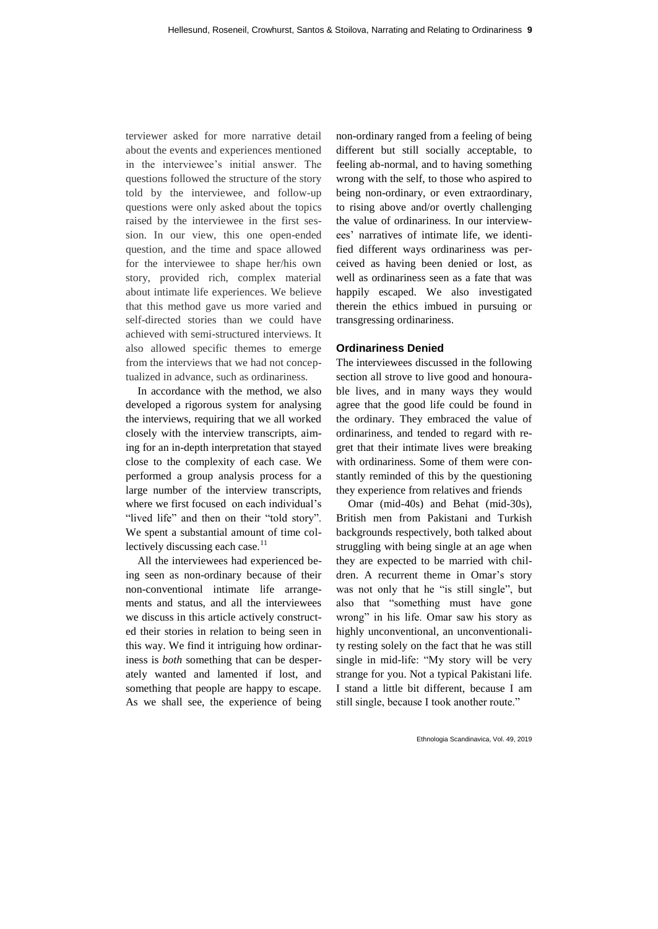terviewer asked for more narrative detail about the events and experiences mentioned in the interviewee's initial answer. The questions followed the structure of the story told by the interviewee, and follow-up questions were only asked about the topics raised by the interviewee in the first session. In our view, this one open-ended question, and the time and space allowed for the interviewee to shape her/his own story, provided rich, complex material about intimate life experiences. We believe that this method gave us more varied and self-directed stories than we could have achieved with semi-structured interviews. It also allowed specific themes to emerge from the interviews that we had not conceptualized in advance, such as ordinariness.

In accordance with the method, we also developed a rigorous system for analysing the interviews, requiring that we all worked closely with the interview transcripts, aiming for an in-depth interpretation that stayed close to the complexity of each case. We performed a group analysis process for a large number of the interview transcripts, where we first focused on each individual's "lived life" and then on their "told story". We spent a substantial amount of time collectively discussing each case. $^{11}$ 

All the interviewees had experienced being seen as non-ordinary because of their non-conventional intimate life arrangements and status, and all the interviewees we discuss in this article actively constructed their stories in relation to being seen in this way. We find it intriguing how ordinariness is *both* something that can be desperately wanted and lamented if lost, and something that people are happy to escape. As we shall see, the experience of being non-ordinary ranged from a feeling of being different but still socially acceptable, to feeling ab-normal, and to having something wrong with the self, to those who aspired to being non-ordinary, or even extraordinary, to rising above and/or overtly challenging the value of ordinariness. In our interviewees' narratives of intimate life, we identified different ways ordinariness was perceived as having been denied or lost, as well as ordinariness seen as a fate that was happily escaped. We also investigated therein the ethics imbued in pursuing or transgressing ordinariness.

### **Ordinariness Denied**

The interviewees discussed in the following section all strove to live good and honourable lives, and in many ways they would agree that the good life could be found in the ordinary. They embraced the value of ordinariness, and tended to regard with regret that their intimate lives were breaking with ordinariness. Some of them were constantly reminded of this by the questioning they experience from relatives and friends

Omar (mid-40s) and Behat (mid-30s), British men from Pakistani and Turkish backgrounds respectively, both talked about struggling with being single at an age when they are expected to be married with children. A recurrent theme in Omar's story was not only that he "is still single", but also that "something must have gone wrong" in his life. Omar saw his story as highly unconventional, an unconventionality resting solely on the fact that he was still single in mid-life: "My story will be very strange for you. Not a typical Pakistani life. I stand a little bit different, because I am still single, because I took another route."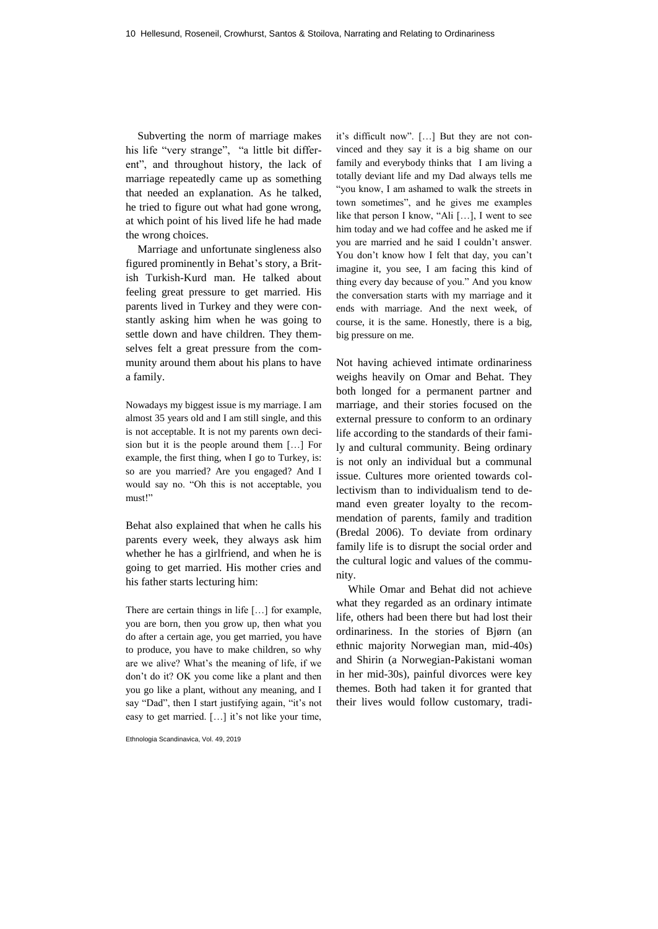Subverting the norm of marriage makes his life "very strange", "a little bit different", and throughout history, the lack of marriage repeatedly came up as something that needed an explanation. As he talked, he tried to figure out what had gone wrong, at which point of his lived life he had made the wrong choices.

Marriage and unfortunate singleness also figured prominently in Behat's story, a British Turkish-Kurd man. He talked about feeling great pressure to get married. His parents lived in Turkey and they were constantly asking him when he was going to settle down and have children. They themselves felt a great pressure from the community around them about his plans to have a family.

Nowadays my biggest issue is my marriage. I am almost 35 years old and I am still single, and this is not acceptable. It is not my parents own decision but it is the people around them […] For example, the first thing, when I go to Turkey, is: so are you married? Are you engaged? And I would say no. "Oh this is not acceptable, you must!"

Behat also explained that when he calls his parents every week, they always ask him whether he has a girlfriend, and when he is going to get married. His mother cries and his father starts lecturing him:

There are certain things in life […] for example, you are born, then you grow up, then what you do after a certain age, you get married, you have to produce, you have to make children, so why are we alive? What's the meaning of life, if we don't do it? OK you come like a plant and then you go like a plant, without any meaning, and I say "Dad", then I start justifying again, "it's not easy to get married. […] it's not like your time,

Ethnologia Scandinavica, Vol. 49, 2019

it's difficult now". […] But they are not convinced and they say it is a big shame on our family and everybody thinks that I am living a totally deviant life and my Dad always tells me "you know, I am ashamed to walk the streets in town sometimes", and he gives me examples like that person I know, "Ali [...], I went to see him today and we had coffee and he asked me if you are married and he said I couldn't answer. You don't know how I felt that day, you can't imagine it, you see, I am facing this kind of thing every day because of you." And you know the conversation starts with my marriage and it ends with marriage. And the next week, of course, it is the same. Honestly, there is a big, big pressure on me.

Not having achieved intimate ordinariness weighs heavily on Omar and Behat. They both longed for a permanent partner and marriage, and their stories focused on the external pressure to conform to an ordinary life according to the standards of their family and cultural community. Being ordinary is not only an individual but a communal issue. Cultures more oriented towards collectivism than to individualism tend to demand even greater loyalty to the recommendation of parents, family and tradition (Bredal 2006). To deviate from ordinary family life is to disrupt the social order and the cultural logic and values of the community.

While Omar and Behat did not achieve what they regarded as an ordinary intimate life, others had been there but had lost their ordinariness. In the stories of Bjørn (an ethnic majority Norwegian man, mid-40s) and Shirin (a Norwegian-Pakistani woman in her mid-30s), painful divorces were key themes. Both had taken it for granted that their lives would follow customary, tradi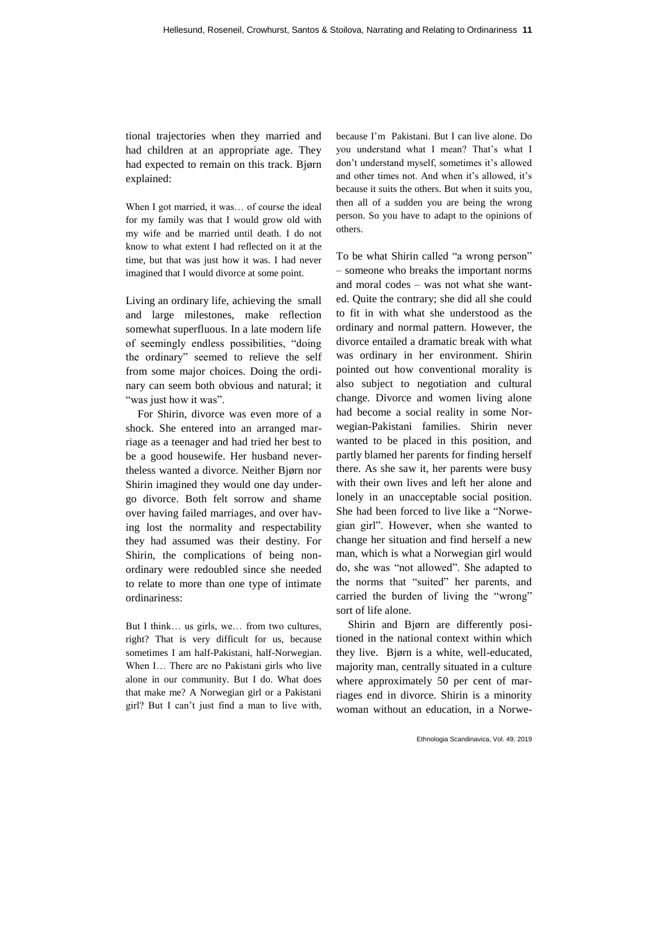tional trajectories when they married and had children at an appropriate age. They had expected to remain on this track. Bjørn explained:

When I got married, it was… of course the ideal for my family was that I would grow old with my wife and be married until death. I do not know to what extent I had reflected on it at the time, but that was just how it was. I had never imagined that I would divorce at some point.

Living an ordinary life, achieving the small and large milestones, make reflection somewhat superfluous. In a late modern life of seemingly endless possibilities, "doing the ordinary" seemed to relieve the self from some major choices. Doing the ordinary can seem both obvious and natural; it "was just how it was".

For Shirin, divorce was even more of a shock. She entered into an arranged marriage as a teenager and had tried her best to be a good housewife. Her husband nevertheless wanted a divorce. Neither Bjørn nor Shirin imagined they would one day undergo divorce. Both felt sorrow and shame over having failed marriages, and over having lost the normality and respectability they had assumed was their destiny. For Shirin, the complications of being nonordinary were redoubled since she needed to relate to more than one type of intimate ordinariness:

But I think… us girls, we… from two cultures, right? That is very difficult for us, because sometimes I am half-Pakistani, half-Norwegian. When I… There are no Pakistani girls who live alone in our community. But I do. What does that make me? A Norwegian girl or a Pakistani girl? But I can't just find a man to live with, because I'm Pakistani. But I can live alone. Do you understand what I mean? That's what I don't understand myself, sometimes it's allowed and other times not. And when it's allowed, it's because it suits the others. But when it suits you, then all of a sudden you are being the wrong person. So you have to adapt to the opinions of others.

To be what Shirin called "a wrong person" – someone who breaks the important norms and moral codes – was not what she wanted. Quite the contrary; she did all she could to fit in with what she understood as the ordinary and normal pattern. However, the divorce entailed a dramatic break with what was ordinary in her environment. Shirin pointed out how conventional morality is also subject to negotiation and cultural change. Divorce and women living alone had become a social reality in some Norwegian-Pakistani families. Shirin never wanted to be placed in this position, and partly blamed her parents for finding herself there. As she saw it, her parents were busy with their own lives and left her alone and lonely in an unacceptable social position. She had been forced to live like a "Norwegian girl". However, when she wanted to change her situation and find herself a new man, which is what a Norwegian girl would do, she was "not allowed". She adapted to the norms that "suited" her parents, and carried the burden of living the "wrong" sort of life alone.

Shirin and Bjørn are differently positioned in the national context within which they live. Bjørn is a white, well-educated, majority man, centrally situated in a culture where approximately 50 per cent of marriages end in divorce. Shirin is a minority woman without an education, in a Norwe-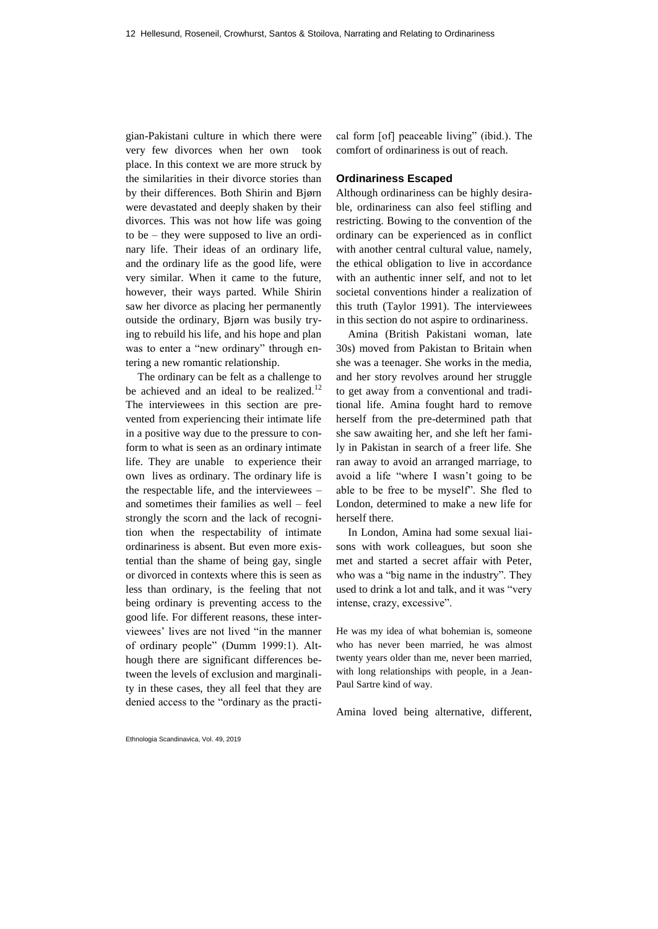gian-Pakistani culture in which there were very few divorces when her own took place. In this context we are more struck by the similarities in their divorce stories than by their differences. Both Shirin and Bjørn were devastated and deeply shaken by their divorces. This was not how life was going to be – they were supposed to live an ordinary life. Their ideas of an ordinary life, and the ordinary life as the good life, were very similar. When it came to the future, however, their ways parted. While Shirin saw her divorce as placing her permanently outside the ordinary, Bjørn was busily trying to rebuild his life, and his hope and plan was to enter a "new ordinary" through entering a new romantic relationship.

The ordinary can be felt as a challenge to be achieved and an ideal to be realized.<sup>12</sup> The interviewees in this section are prevented from experiencing their intimate life in a positive way due to the pressure to conform to what is seen as an ordinary intimate life. They are unable to experience their own lives as ordinary. The ordinary life is the respectable life, and the interviewees – and sometimes their families as well – feel strongly the scorn and the lack of recognition when the respectability of intimate ordinariness is absent. But even more existential than the shame of being gay, single or divorced in contexts where this is seen as less than ordinary, is the feeling that not being ordinary is preventing access to the good life. For different reasons, these interviewees' lives are not lived "in the manner of ordinary people" (Dumm 1999:1). Although there are significant differences between the levels of exclusion and marginality in these cases, they all feel that they are denied access to the "ordinary as the practical form [of] peaceable living" (ibid.). The comfort of ordinariness is out of reach.

#### **Ordinariness Escaped**

Although ordinariness can be highly desirable, ordinariness can also feel stifling and restricting. Bowing to the convention of the ordinary can be experienced as in conflict with another central cultural value, namely, the ethical obligation to live in accordance with an authentic inner self, and not to let societal conventions hinder a realization of this truth (Taylor 1991). The interviewees in this section do not aspire to ordinariness.

Amina (British Pakistani woman, late 30s) moved from Pakistan to Britain when she was a teenager. She works in the media, and her story revolves around her struggle to get away from a conventional and traditional life. Amina fought hard to remove herself from the pre-determined path that she saw awaiting her, and she left her family in Pakistan in search of a freer life. She ran away to avoid an arranged marriage, to avoid a life "where I wasn't going to be able to be free to be myself". She fled to London, determined to make a new life for herself there.

In London, Amina had some sexual liaisons with work colleagues, but soon she met and started a secret affair with Peter, who was a "big name in the industry". They used to drink a lot and talk, and it was "very intense, crazy, excessive".

He was my idea of what bohemian is, someone who has never been married, he was almost twenty years older than me, never been married, with long relationships with people, in a Jean-Paul Sartre kind of way.

Amina loved being alternative, different,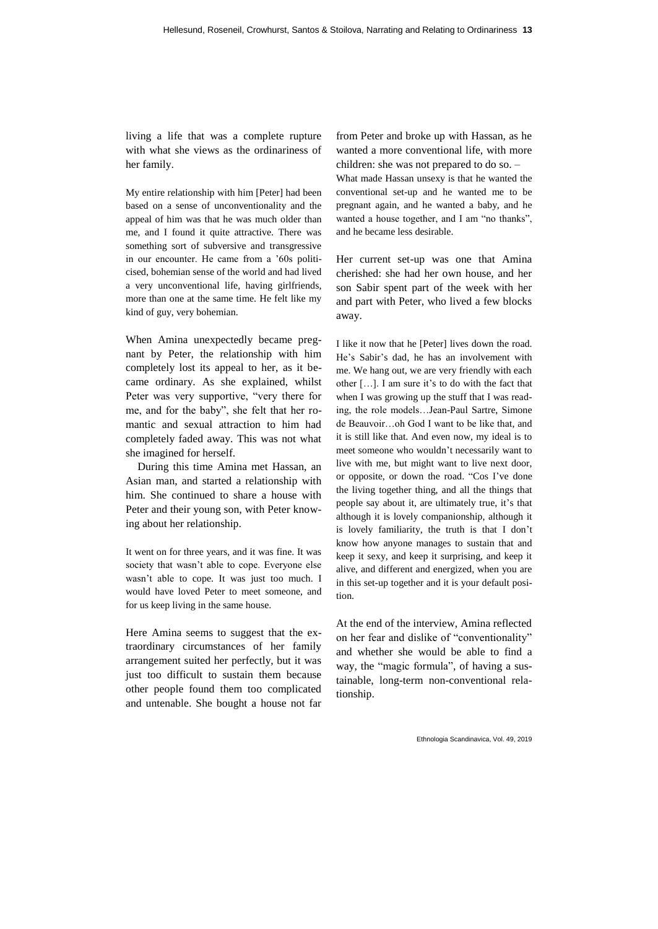living a life that was a complete rupture with what she views as the ordinariness of her family.

My entire relationship with him [Peter] had been based on a sense of unconventionality and the appeal of him was that he was much older than me, and I found it quite attractive. There was something sort of subversive and transgressive in our encounter. He came from a '60s politicised, bohemian sense of the world and had lived a very unconventional life, having girlfriends, more than one at the same time. He felt like my kind of guy, very bohemian.

When Amina unexpectedly became pregnant by Peter, the relationship with him completely lost its appeal to her, as it became ordinary. As she explained, whilst Peter was very supportive, "very there for me, and for the baby", she felt that her romantic and sexual attraction to him had completely faded away. This was not what she imagined for herself.

During this time Amina met Hassan, an Asian man, and started a relationship with him. She continued to share a house with Peter and their young son, with Peter knowing about her relationship.

It went on for three years, and it was fine. It was society that wasn't able to cope. Everyone else wasn't able to cope. It was just too much. I would have loved Peter to meet someone, and for us keep living in the same house.

Here Amina seems to suggest that the extraordinary circumstances of her family arrangement suited her perfectly, but it was just too difficult to sustain them because other people found them too complicated and untenable. She bought a house not far from Peter and broke up with Hassan, as he wanted a more conventional life, with more children: she was not prepared to do so. –

What made Hassan unsexy is that he wanted the conventional set-up and he wanted me to be pregnant again, and he wanted a baby, and he wanted a house together, and I am "no thanks", and he became less desirable.

Her current set-up was one that Amina cherished: she had her own house, and her son Sabir spent part of the week with her and part with Peter, who lived a few blocks away.

I like it now that he [Peter] lives down the road. He's Sabir's dad, he has an involvement with me. We hang out, we are very friendly with each other […]. I am sure it's to do with the fact that when I was growing up the stuff that I was reading, the role models…Jean-Paul Sartre, Simone de Beauvoir…oh God I want to be like that, and it is still like that. And even now, my ideal is to meet someone who wouldn't necessarily want to live with me, but might want to live next door, or opposite, or down the road. "Cos I've done the living together thing, and all the things that people say about it, are ultimately true, it's that although it is lovely companionship, although it is lovely familiarity, the truth is that I don't know how anyone manages to sustain that and keep it sexy, and keep it surprising, and keep it alive, and different and energized, when you are in this set-up together and it is your default position.

At the end of the interview, Amina reflected on her fear and dislike of "conventionality" and whether she would be able to find a way, the "magic formula", of having a sustainable, long-term non-conventional relationship.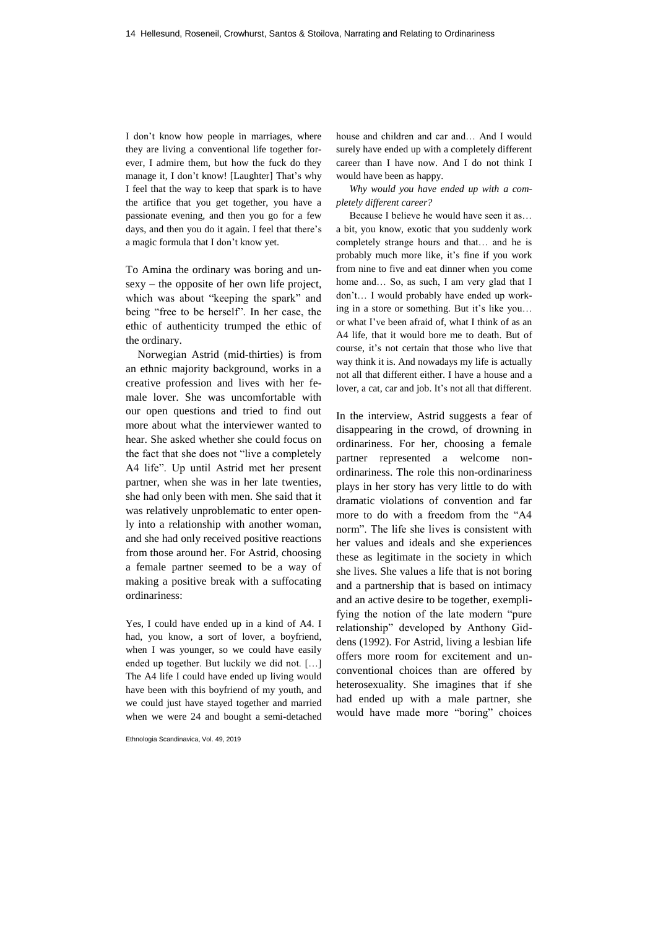I don't know how people in marriages, where they are living a conventional life together forever, I admire them, but how the fuck do they manage it, I don't know! [Laughter] That's why I feel that the way to keep that spark is to have the artifice that you get together, you have a passionate evening, and then you go for a few days, and then you do it again. I feel that there's a magic formula that I don't know yet.

To Amina the ordinary was boring and unsexy – the opposite of her own life project, which was about "keeping the spark" and being "free to be herself". In her case, the ethic of authenticity trumped the ethic of the ordinary.

Norwegian Astrid (mid-thirties) is from an ethnic majority background, works in a creative profession and lives with her female lover. She was uncomfortable with our open questions and tried to find out more about what the interviewer wanted to hear. She asked whether she could focus on the fact that she does not "live a completely A4 life". Up until Astrid met her present partner, when she was in her late twenties, she had only been with men. She said that it was relatively unproblematic to enter openly into a relationship with another woman, and she had only received positive reactions from those around her. For Astrid, choosing a female partner seemed to be a way of making a positive break with a suffocating ordinariness:

Yes, I could have ended up in a kind of A4. I had, you know, a sort of lover, a boyfriend, when I was younger, so we could have easily ended up together. But luckily we did not. […] The A4 life I could have ended up living would have been with this boyfriend of my youth, and we could just have stayed together and married when we were 24 and bought a semi-detached

Ethnologia Scandinavica, Vol. 49, 2019

house and children and car and… And I would surely have ended up with a completely different career than I have now. And I do not think I would have been as happy.

*Why would you have ended up with a completely different career?*

Because I believe he would have seen it as… a bit, you know, exotic that you suddenly work completely strange hours and that… and he is probably much more like, it's fine if you work from nine to five and eat dinner when you come home and... So, as such, I am very glad that I don't… I would probably have ended up working in a store or something. But it's like you… or what I've been afraid of, what I think of as an A4 life, that it would bore me to death. But of course, it's not certain that those who live that way think it is. And nowadays my life is actually not all that different either. I have a house and a lover, a cat, car and job. It's not all that different.

In the interview, Astrid suggests a fear of disappearing in the crowd, of drowning in ordinariness. For her, choosing a female partner represented a welcome nonordinariness. The role this non-ordinariness plays in her story has very little to do with dramatic violations of convention and far more to do with a freedom from the "A4 norm". The life she lives is consistent with her values and ideals and she experiences these as legitimate in the society in which she lives. She values a life that is not boring and a partnership that is based on intimacy and an active desire to be together, exemplifying the notion of the late modern "pure relationship" developed by Anthony Giddens (1992). For Astrid, living a lesbian life offers more room for excitement and unconventional choices than are offered by heterosexuality. She imagines that if she had ended up with a male partner, she would have made more "boring" choices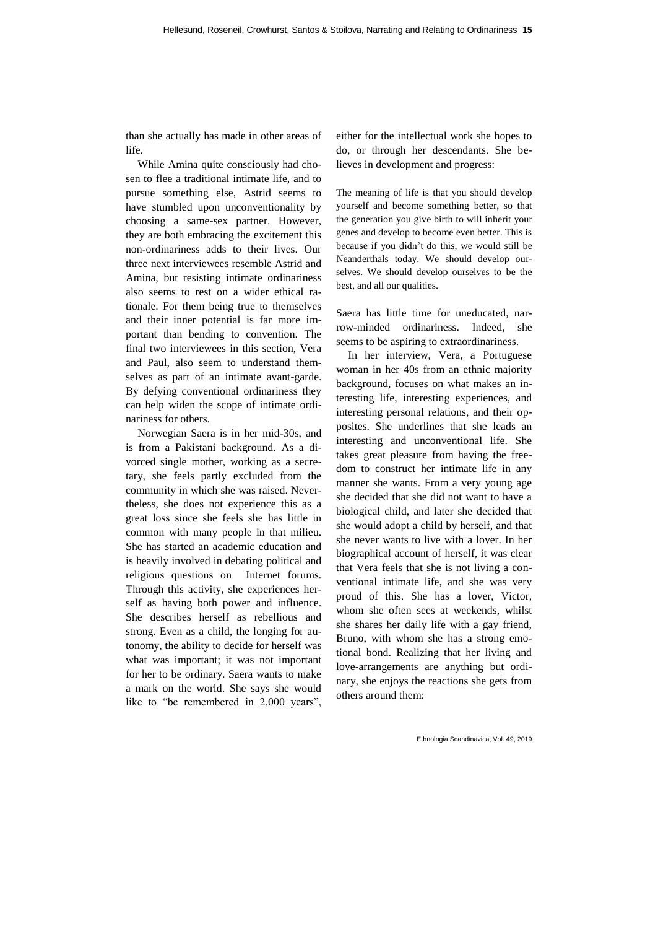than she actually has made in other areas of life.

While Amina quite consciously had chosen to flee a traditional intimate life, and to pursue something else, Astrid seems to have stumbled upon unconventionality by choosing a same-sex partner. However, they are both embracing the excitement this non-ordinariness adds to their lives. Our three next interviewees resemble Astrid and Amina, but resisting intimate ordinariness also seems to rest on a wider ethical rationale. For them being true to themselves and their inner potential is far more important than bending to convention. The final two interviewees in this section, Vera and Paul, also seem to understand themselves as part of an intimate avant-garde. By defying conventional ordinariness they can help widen the scope of intimate ordinariness for others.

Norwegian Saera is in her mid-30s, and is from a Pakistani background. As a divorced single mother, working as a secretary, she feels partly excluded from the community in which she was raised. Nevertheless, she does not experience this as a great loss since she feels she has little in common with many people in that milieu. She has started an academic education and is heavily involved in debating political and religious questions on Internet forums. Through this activity, she experiences herself as having both power and influence. She describes herself as rebellious and strong. Even as a child, the longing for autonomy, the ability to decide for herself was what was important; it was not important for her to be ordinary. Saera wants to make a mark on the world. She says she would like to "be remembered in 2,000 years",

either for the intellectual work she hopes to do, or through her descendants. She believes in development and progress:

The meaning of life is that you should develop yourself and become something better, so that the generation you give birth to will inherit your genes and develop to become even better. This is because if you didn't do this, we would still be Neanderthals today. We should develop ourselves. We should develop ourselves to be the best, and all our qualities.

Saera has little time for uneducated, narrow-minded ordinariness. Indeed, she seems to be aspiring to extraordinariness.

In her interview, Vera, a Portuguese woman in her 40s from an ethnic majority background, focuses on what makes an interesting life, interesting experiences, and interesting personal relations, and their opposites. She underlines that she leads an interesting and unconventional life. She takes great pleasure from having the freedom to construct her intimate life in any manner she wants. From a very young age she decided that she did not want to have a biological child, and later she decided that she would adopt a child by herself, and that she never wants to live with a lover. In her biographical account of herself, it was clear that Vera feels that she is not living a conventional intimate life, and she was very proud of this. She has a lover, Victor, whom she often sees at weekends, whilst she shares her daily life with a gay friend, Bruno, with whom she has a strong emotional bond. Realizing that her living and love-arrangements are anything but ordinary, she enjoys the reactions she gets from others around them: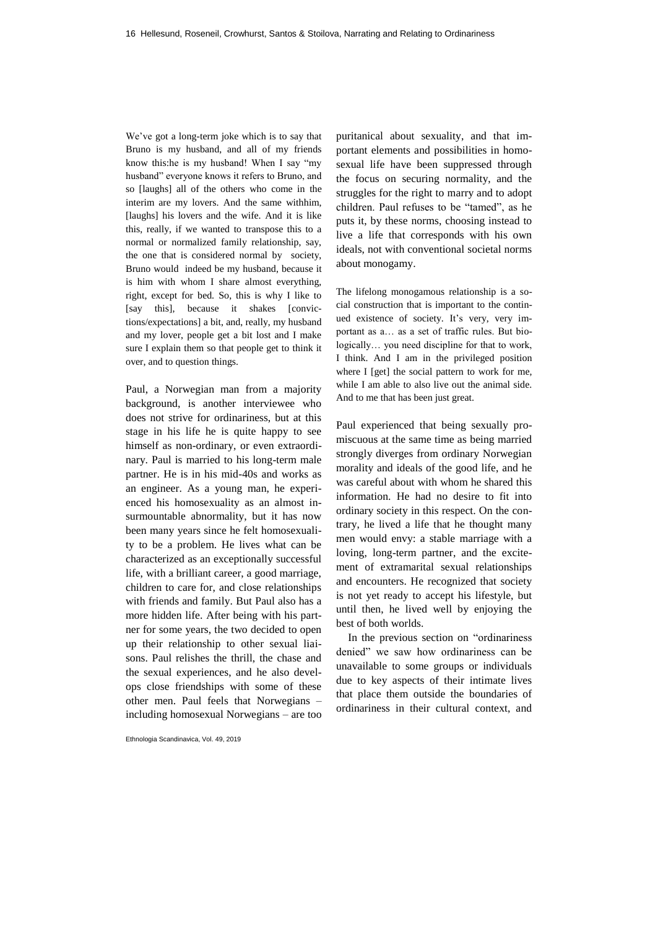We've got a long-term joke which is to say that Bruno is my husband, and all of my friends know this:he is my husband! When I say "my husband" everyone knows it refers to Bruno, and so [laughs] all of the others who come in the interim are my lovers. And the same withhim, [laughs] his lovers and the wife. And it is like this, really, if we wanted to transpose this to a normal or normalized family relationship, say, the one that is considered normal by society, Bruno would indeed be my husband, because it is him with whom I share almost everything, right, except for bed. So, this is why I like to [say this], because it shakes [convictions/expectations] a bit, and, really, my husband and my lover, people get a bit lost and I make sure I explain them so that people get to think it over, and to question things.

Paul, a Norwegian man from a majority background, is another interviewee who does not strive for ordinariness, but at this stage in his life he is quite happy to see himself as non-ordinary, or even extraordinary. Paul is married to his long-term male partner. He is in his mid-40s and works as an engineer. As a young man, he experienced his homosexuality as an almost insurmountable abnormality, but it has now been many years since he felt homosexuality to be a problem. He lives what can be characterized as an exceptionally successful life, with a brilliant career, a good marriage, children to care for, and close relationships with friends and family. But Paul also has a more hidden life. After being with his partner for some years, the two decided to open up their relationship to other sexual liaisons. Paul relishes the thrill, the chase and the sexual experiences, and he also develops close friendships with some of these other men. Paul feels that Norwegians – including homosexual Norwegians – are too

Ethnologia Scandinavica, Vol. 49, 2019

puritanical about sexuality, and that important elements and possibilities in homosexual life have been suppressed through the focus on securing normality, and the struggles for the right to marry and to adopt children. Paul refuses to be "tamed", as he puts it, by these norms, choosing instead to live a life that corresponds with his own ideals, not with conventional societal norms about monogamy.

The lifelong monogamous relationship is a social construction that is important to the continued existence of society. It's very, very important as a… as a set of traffic rules. But biologically… you need discipline for that to work, I think. And I am in the privileged position where I [get] the social pattern to work for me, while I am able to also live out the animal side. And to me that has been just great.

Paul experienced that being sexually promiscuous at the same time as being married strongly diverges from ordinary Norwegian morality and ideals of the good life, and he was careful about with whom he shared this information. He had no desire to fit into ordinary society in this respect. On the contrary, he lived a life that he thought many men would envy: a stable marriage with a loving, long-term partner, and the excitement of extramarital sexual relationships and encounters. He recognized that society is not yet ready to accept his lifestyle, but until then, he lived well by enjoying the best of both worlds.

In the previous section on "ordinariness denied" we saw how ordinariness can be unavailable to some groups or individuals due to key aspects of their intimate lives that place them outside the boundaries of ordinariness in their cultural context, and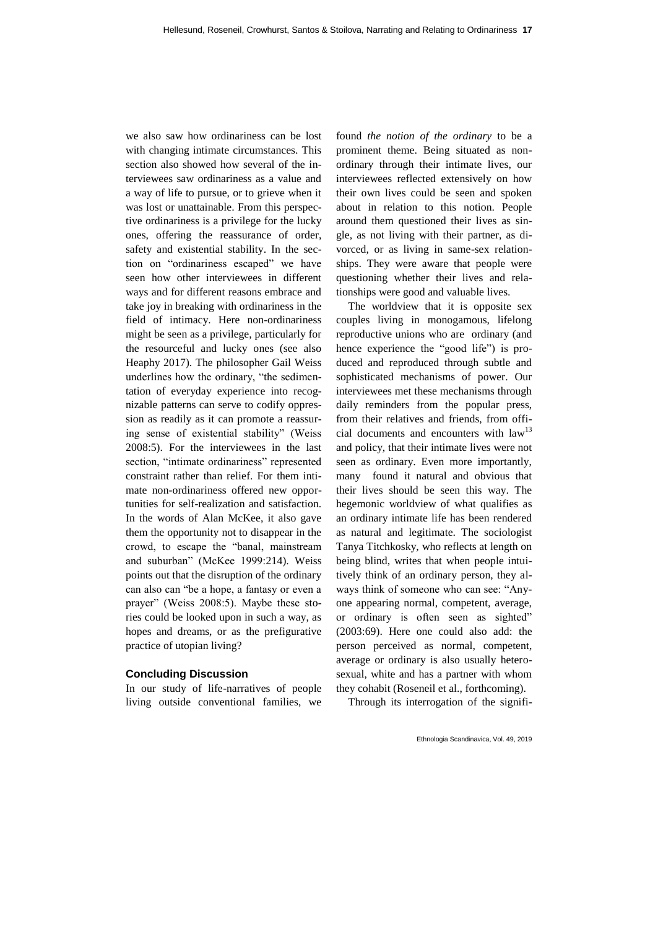we also saw how ordinariness can be lost with changing intimate circumstances. This section also showed how several of the interviewees saw ordinariness as a value and a way of life to pursue, or to grieve when it was lost or unattainable. From this perspective ordinariness is a privilege for the lucky ones, offering the reassurance of order, safety and existential stability. In the section on "ordinariness escaped" we have seen how other interviewees in different ways and for different reasons embrace and take joy in breaking with ordinariness in the field of intimacy. Here non-ordinariness might be seen as a privilege, particularly for the resourceful and lucky ones (see also Heaphy 2017). The philosopher Gail Weiss underlines how the ordinary, "the sedimentation of everyday experience into recognizable patterns can serve to codify oppression as readily as it can promote a reassuring sense of existential stability" (Weiss 2008:5). For the interviewees in the last section, "intimate ordinariness" represented constraint rather than relief. For them intimate non-ordinariness offered new opportunities for self-realization and satisfaction. In the words of Alan McKee, it also gave them the opportunity not to disappear in the crowd, to escape the "banal, mainstream and suburban" (McKee 1999:214). Weiss points out that the disruption of the ordinary can also can "be a hope, a fantasy or even a prayer" (Weiss 2008:5). Maybe these stories could be looked upon in such a way, as hopes and dreams, or as the prefigurative practice of utopian living?

#### **Concluding Discussion**

In our study of life-narratives of people living outside conventional families, we found *the notion of the ordinary* to be a prominent theme. Being situated as nonordinary through their intimate lives, our interviewees reflected extensively on how their own lives could be seen and spoken about in relation to this notion. People around them questioned their lives as single, as not living with their partner, as divorced, or as living in same-sex relationships. They were aware that people were questioning whether their lives and relationships were good and valuable lives.

The worldview that it is opposite sex couples living in monogamous, lifelong reproductive unions who are ordinary (and hence experience the "good life") is produced and reproduced through subtle and sophisticated mechanisms of power. Our interviewees met these mechanisms through daily reminders from the popular press, from their relatives and friends, from official documents and encounters with law<sup>13</sup> and policy, that their intimate lives were not seen as ordinary. Even more importantly, many found it natural and obvious that their lives should be seen this way. The hegemonic worldview of what qualifies as an ordinary intimate life has been rendered as natural and legitimate. The sociologist Tanya Titchkosky, who reflects at length on being blind, writes that when people intuitively think of an ordinary person, they always think of someone who can see: "Anyone appearing normal, competent, average, or ordinary is often seen as sighted" (2003:69). Here one could also add: the person perceived as normal, competent, average or ordinary is also usually heterosexual, white and has a partner with whom they cohabit (Roseneil et al., forthcoming).

Through its interrogation of the signifi-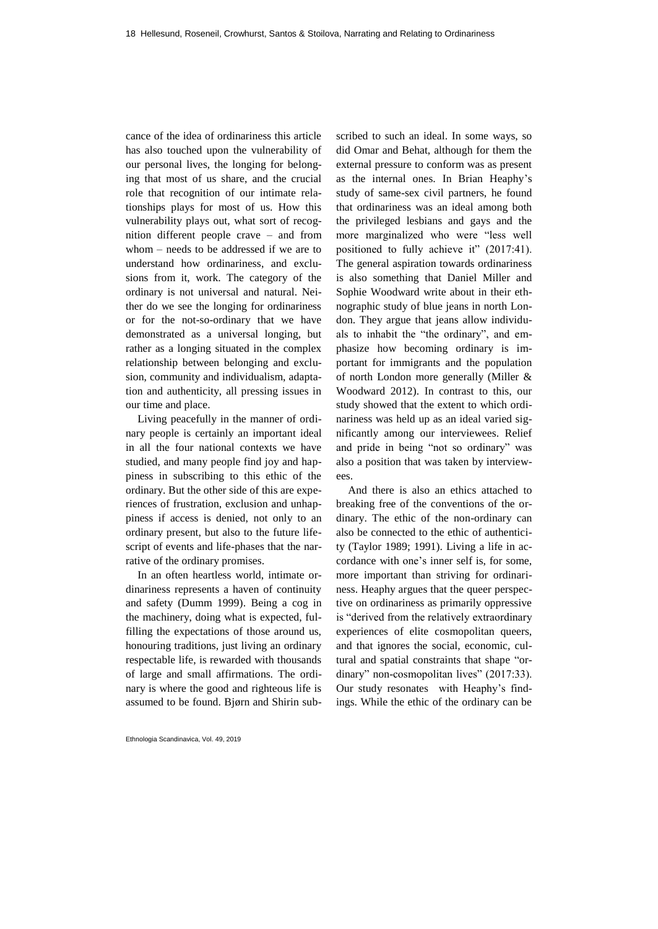cance of the idea of ordinariness this article has also touched upon the vulnerability of our personal lives, the longing for belonging that most of us share, and the crucial role that recognition of our intimate relationships plays for most of us. How this vulnerability plays out, what sort of recognition different people crave – and from whom – needs to be addressed if we are to understand how ordinariness, and exclusions from it, work. The category of the ordinary is not universal and natural. Neither do we see the longing for ordinariness or for the not-so-ordinary that we have demonstrated as a universal longing, but rather as a longing situated in the complex relationship between belonging and exclusion, community and individualism, adaptation and authenticity, all pressing issues in our time and place.

Living peacefully in the manner of ordinary people is certainly an important ideal in all the four national contexts we have studied, and many people find joy and happiness in subscribing to this ethic of the ordinary. But the other side of this are experiences of frustration, exclusion and unhappiness if access is denied, not only to an ordinary present, but also to the future lifescript of events and life-phases that the narrative of the ordinary promises.

In an often heartless world, intimate ordinariness represents a haven of continuity and safety (Dumm 1999). Being a cog in the machinery, doing what is expected, fulfilling the expectations of those around us, honouring traditions, just living an ordinary respectable life, is rewarded with thousands of large and small affirmations. The ordinary is where the good and righteous life is assumed to be found. Bjørn and Shirin sub-

Ethnologia Scandinavica, Vol. 49, 2019

scribed to such an ideal. In some ways, so did Omar and Behat, although for them the external pressure to conform was as present as the internal ones. In Brian Heaphy's study of same-sex civil partners, he found that ordinariness was an ideal among both the privileged lesbians and gays and the more marginalized who were "less well positioned to fully achieve it" (2017:41). The general aspiration towards ordinariness is also something that Daniel Miller and Sophie Woodward write about in their ethnographic study of blue jeans in north London. They argue that jeans allow individuals to inhabit the "the ordinary", and emphasize how becoming ordinary is important for immigrants and the population of north London more generally (Miller & Woodward 2012). In contrast to this, our study showed that the extent to which ordinariness was held up as an ideal varied significantly among our interviewees. Relief and pride in being "not so ordinary" was also a position that was taken by interviewees.

And there is also an ethics attached to breaking free of the conventions of the ordinary. The ethic of the non-ordinary can also be connected to the ethic of authenticity (Taylor 1989; 1991). Living a life in accordance with one's inner self is, for some, more important than striving for ordinariness. Heaphy argues that the queer perspective on ordinariness as primarily oppressive is "derived from the relatively extraordinary experiences of elite cosmopolitan queers, and that ignores the social, economic, cultural and spatial constraints that shape "ordinary" non-cosmopolitan lives" (2017:33). Our study resonates with Heaphy's findings. While the ethic of the ordinary can be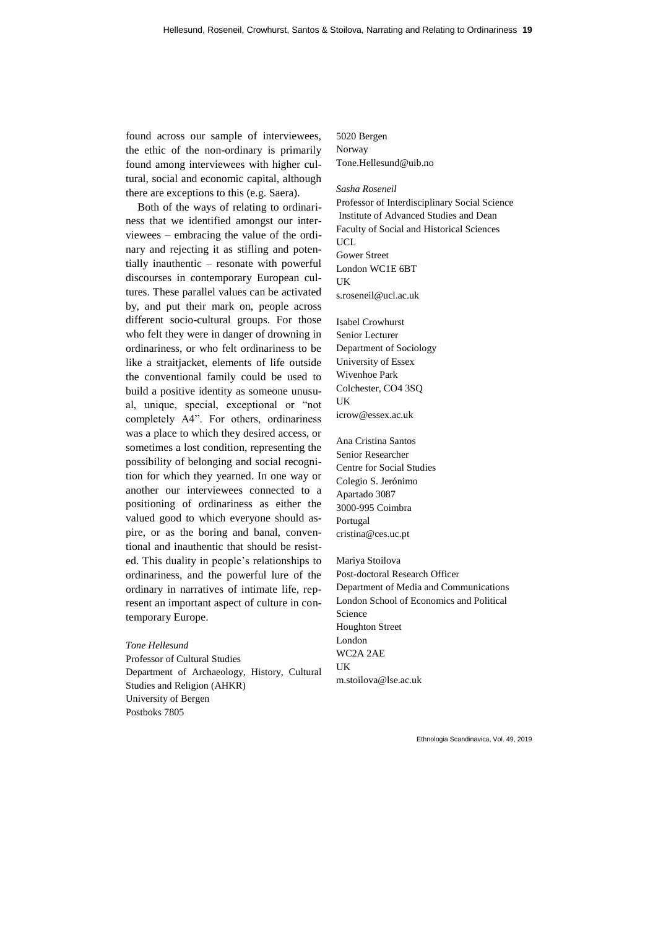found across our sample of interviewees, the ethic of the non-ordinary is primarily found among interviewees with higher cultural, social and economic capital, although there are exceptions to this (e.g. Saera).

Both of the ways of relating to ordinariness that we identified amongst our interviewees – embracing the value of the ordinary and rejecting it as stifling and potentially inauthentic – resonate with powerful discourses in contemporary European cultures. These parallel values can be activated by, and put their mark on, people across different socio-cultural groups. For those who felt they were in danger of drowning in ordinariness, or who felt ordinariness to be like a straitjacket, elements of life outside the conventional family could be used to build a positive identity as someone unusual, unique, special, exceptional or "not completely A4". For others, ordinariness was a place to which they desired access, or sometimes a lost condition, representing the possibility of belonging and social recognition for which they yearned. In one way or another our interviewees connected to a positioning of ordinariness as either the valued good to which everyone should aspire, or as the boring and banal, conventional and inauthentic that should be resisted. This duality in people's relationships to ordinariness, and the powerful lure of the ordinary in narratives of intimate life, represent an important aspect of culture in contemporary Europe.

*Tone Hellesund*  Professor of Cultural Studies Department of Archaeology, History, Cultural Studies and Religion (AHKR) University of Bergen Postboks 7805

5020 Bergen Norway Tone.Hellesund@uib.no

#### *Sasha Roseneil*

Professor of Interdisciplinary Social Science Institute of Advanced Studies and Dean Faculty of Social and Historical Sciences **UCL** Gower Street London WC1E 6BT **IK** s.roseneil@ucl.ac.uk

Isabel Crowhurst Senior Lecturer Department of Sociology University of Essex Wivenhoe Park Colchester, CO4 3SQ UK icrow@essex.ac.uk

Ana Cristina Santos Senior Researcher Centre for Social Studies Colegio S. Jerónimo Apartado 3087 3000-995 Coimbra Portugal cristina@ces.uc.pt

Mariya Stoilova Post-doctoral Research Officer Department of Media and Communications London School of Economics and Political Science Houghton Street London WC2A 2AE UK m.stoilova@lse.ac.uk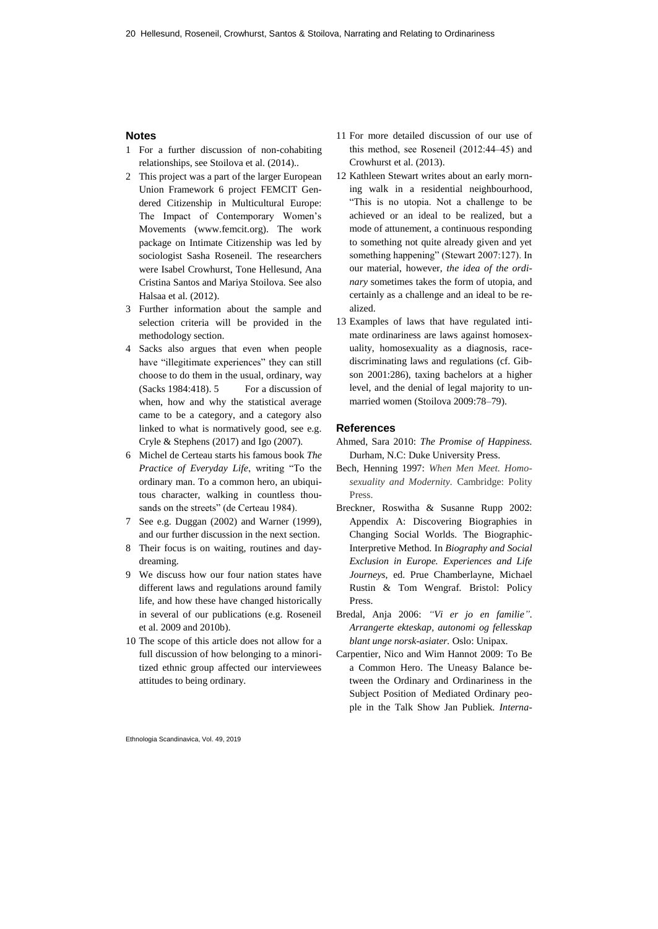## **Notes**

- 1 For a further discussion of non-cohabiting relationships, see Stoilova et al. (2014)..
- 2 This project was a part of the larger European Union Framework 6 project FEMCIT Gendered Citizenship in Multicultural Europe: The Impact of Contemporary Women's Movements (www.femcit.org). The work package on Intimate Citizenship was led by sociologist Sasha Roseneil. The researchers were Isabel Crowhurst, Tone Hellesund, Ana Cristina Santos and Mariya Stoilova. See also Halsaa et al. (2012).
- 3 Further information about the sample and selection criteria will be provided in the methodology section.
- 4 Sacks also argues that even when people have "illegitimate experiences" they can still choose to do them in the usual, ordinary, way (Sacks 1984:418). 5 For a discussion of when, how and why the statistical average came to be a category, and a category also linked to what is normatively good, see e.g. Cryle & Stephens (2017) and Igo (2007).
- 6 Michel de Certeau starts his famous book *The Practice of Everyday Life*, writing "To the ordinary man. To a common hero, an ubiquitous character, walking in countless thousands on the streets" (de Certeau 1984).
- 7 See e.g. Duggan (2002) and Warner (1999), and our further discussion in the next section.
- 8 Their focus is on waiting, routines and daydreaming.
- 9 We discuss how our four nation states have different laws and regulations around family life, and how these have changed historically in several of our publications (e.g. Roseneil et al. 2009 and 2010b).
- 10 The scope of this article does not allow for a full discussion of how belonging to a minoritized ethnic group affected our interviewees attitudes to being ordinary.
- Ethnologia Scandinavica, Vol. 49, 2019
- 11 For more detailed discussion of our use of this method, see Roseneil (2012:44‒45) and Crowhurst et al. (2013).
- 12 Kathleen Stewart writes about an early morning walk in a residential neighbourhood, "This is no utopia. Not a challenge to be achieved or an ideal to be realized, but a mode of attunement, a continuous responding to something not quite already given and yet something happening" (Stewart 2007:127). In our material, however, *the idea of the ordinary* sometimes takes the form of utopia, and certainly as a challenge and an ideal to be realized.
- 13 Examples of laws that have regulated intimate ordinariness are laws against homosexuality, homosexuality as a diagnosis, racediscriminating laws and regulations (cf. Gibson 2001:286), taxing bachelors at a higher level, and the denial of legal majority to unmarried women (Stoilova 2009:78-79).

#### **References**

- Ahmed, Sara 2010: *The Promise of Happiness.* Durham, N.C: Duke University Press.
- Bech, Henning 1997: *When Men Meet. Homosexuality and Modernity.* Cambridge: Polity Press.
- Breckner, Roswitha & Susanne Rupp 2002: Appendix A: Discovering Biographies in Changing Social Worlds. The Biographic-Interpretive Method*.* In *Biography and Social Exclusion in Europe. Experiences and Life Journeys*, ed. Prue Chamberlayne, Michael Rustin & Tom Wengraf*.* Bristol: Policy Press.
- Bredal, Anja 2006: *"Vi er jo en familie". Arrangerte ekteskap, autonomi og fellesskap blant unge norsk-asiater.* Oslo: Unipax.
- Carpentier, Nico and Wim Hannot 2009: To Be a Common Hero. The Uneasy Balance between the Ordinary and Ordinariness in the Subject Position of Mediated Ordinary people in the Talk Show Jan Publiek. *Interna-*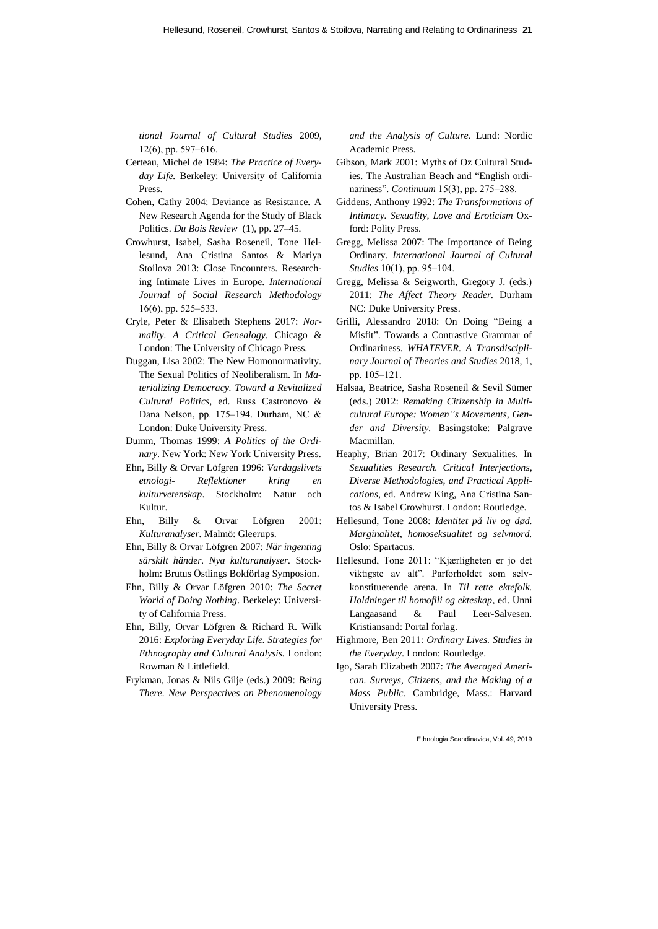*tional Journal of Cultural Studies* 2009,  $12(6)$ , pp. 597–616.

- Certeau, Michel de 1984: *The Practice of Everyday Life.* Berkeley: University of California Press.
- Cohen, Cathy 2004: Deviance as Resistance. A New Research Agenda for the Study of Black Politics. *[Du Bois Review](http://journals.cambridge.org/action/displayJournal?jid=DBR)* (1), pp. 27-45.
- Crowhurst, Isabel, Sasha Roseneil, Tone Hellesund, Ana Cristina Santos & Mariya Stoilova 2013: Close Encounters. Researching Intimate Lives in Europe. *International Journal of Social Research Methodology*  $16(6)$ , pp. 525–533.
- Cryle, Peter & Elisabeth Stephens 2017: *Normality. A Critical Genealogy.* Chicago & London: The University of Chicago Press.
- Duggan, Lisa 2002: The New Homonormativity. The Sexual Politics of Neoliberalism. In *Materializing Democracy. Toward a Revitalized Cultural Politics,* ed. Russ Castronovo & Dana Nelson, pp. 175-194. Durham, NC & London: Duke University Press.
- Dumm, Thomas 1999: *A Politics of the Ordinary*. New York: New York University Press.
- Ehn, Billy & Orvar Löfgren 1996: *Vardagslivets etnologi- Reflektioner kring en kulturvetenskap*. Stockholm: Natur och Kultur.
- Ehn, Billy & Orvar Löfgren 2001: *Kulturanalyser.* Malmö: Gleerups.
- Ehn, Billy & Orvar Löfgren 2007: *När ingenting särskilt händer. Nya kulturanalyser.* Stockholm: Brutus Östlings Bokförlag Symposion.
- Ehn, Billy & Orvar Löfgren 2010: *The Secret World of Doing Nothing*. Berkeley: University of California Press.
- Ehn, Billy, Orvar Löfgren & Richard R. Wilk 2016: *Exploring Everyday Life. Strategies for Ethnography and Cultural Analysis.* London: Rowman & Littlefield.
- Frykman, Jonas & Nils Gilje (eds.) 2009: *Being There. New Perspectives on Phenomenology*

*and the Analysis of Culture.* Lund: Nordic Academic Press.

- Gibson, Mark 2001: Myths of Oz Cultural Studies. The Australian Beach and "English ordinariness". *Continuum* 15(3), pp. 275–288.
- Giddens, Anthony 1992: *The Transformations of Intimacy. Sexuality, Love and Eroticism* Oxford: Polity Press.
- Gregg, Melissa 2007: The Importance of Being Ordinary. *International Journal of Cultural Studies* 10(1), pp. 95–104.
- Gregg, Melissa & Seigworth, Gregory J. (eds.) 2011: *The Affect Theory Reader.* Durham NC: Duke University Press.
- Grilli, Alessandro 2018: On Doing "Being a Misfit". Towards a Contrastive Grammar of Ordinariness. *WHATEVER. A Transdisciplinary Journal of Theories and Studies* 2018, 1, pp. 105‒121.
- Halsaa, Beatrice, Sasha Roseneil & Sevil Sümer (eds.) 2012: *Remaking Citizenship in Multicultural Europe: Women"s Movements, Gender and Diversity.* Basingstoke: Palgrave Macmillan.
- Heaphy, Brian 2017: Ordinary Sexualities. In *Sexualities Research. Critical Interjections, Diverse Methodologies, and Practical Applications*, ed. Andrew King, Ana Cristina Santos & Isabel Crowhurst*.* London: Routledge.
- Hellesund, Tone 2008: *Identitet på liv og død. Marginalitet, homoseksualitet og selvmord.* Oslo: Spartacus.
- Hellesund, Tone 2011: "Kjærligheten er jo det viktigste av alt". Parforholdet som selvkonstituerende arena. In *Til rette ektefolk. Holdninger til homofili og ekteskap*, ed. Unni Langaasand & Paul Leer-Salvesen*.* Kristiansand: Portal forlag.
- Highmore, Ben 2011: *Ordinary Lives. Studies in the Everyday*. London: Routledge.
- Igo, Sarah Elizabeth 2007: *The Averaged American. Surveys, Citizens, and the Making of a Mass Public.* Cambridge, Mass.: Harvard University Press.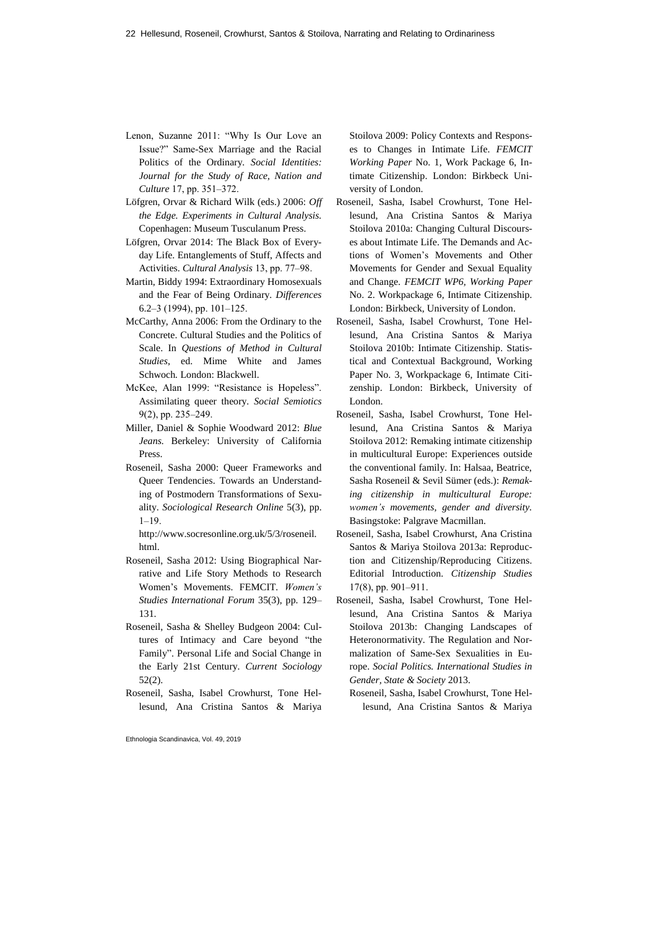- Lenon, Suzanne 2011: "Why Is Our Love an Issue?" Same-Sex Marriage and the Racial Politics of the Ordinary. *Social Identities: Journal for the Study of Race, Nation and Culture* 17, pp. 351–372.
- Löfgren, Orvar & Richard Wilk (eds.) 2006: *Off the Edge. Experiments in Cultural Analysis.* Copenhagen: Museum Tusculanum Press.
- Löfgren, Orvar 2014: The Black Box of Everyday Life. Entanglements of Stuff, Affects and Activities. *Cultural Analysis* 13, pp. 77‒98.
- Martin, Biddy 1994: Extraordinary Homosexuals and the Fear of Being Ordinary. *Differences*   $6.2-3$  (1994), pp. 101-125.
- McCarthy, Anna 2006: From the Ordinary to the Concrete. Cultural Studies and the Politics of Scale. In *Questions of Method in Cultural Studies*, ed. Mime White and James Schwoch*.* London: Blackwell.
- McKee, Alan 1999: "Resistance is Hopeless". Assimilating queer theory. *Social Semiotics*  $9(2)$ , pp. 235–249.
- Miller, Daniel & Sophie Woodward 2012: *Blue Jeans.* Berkeley: University of California Press.
- Roseneil, Sasha 2000: Queer Frameworks and Queer Tendencies. Towards an Understanding of Postmodern Transformations of Sexuality. *Sociological Research Online* 5(3), pp.  $1 - 19$ .

http://www.socresonline.org.uk/5/3/roseneil. html.

- Roseneil, Sasha 2012: Using Biographical Narrative and Life Story Methods to Research Women's Movements. FEMCIT. *Women's Studies International Forum* 35(3), pp. 129– 131.
- Roseneil, Sasha & Shelley Budgeon 2004: Cultures of Intimacy and Care beyond "the Family". Personal Life and Social Change in the Early 21st Century. *Current Sociology* 52(2).
- Roseneil, Sasha, Isabel Crowhurst, Tone Hellesund, Ana Cristina Santos & Mariya

Ethnologia Scandinavica, Vol. 49, 2019

Stoilova 2009: Policy Contexts and Responses to Changes in Intimate Life. *FEMCIT Working Paper* No. 1, Work Package 6, Intimate Citizenship. London: Birkbeck University of London.

- Roseneil, Sasha, Isabel Crowhurst, Tone Hellesund, Ana Cristina Santos & Mariya Stoilova 2010a: Changing Cultural Discourses about Intimate Life. The Demands and Actions of Women's Movements and Other Movements for Gender and Sexual Equality and Change. *FEMCIT WP6, Working Paper* No. 2. Workpackage 6, Intimate Citizenship. London: Birkbeck, University of London.
- [Roseneil, Sasha, Isabel Crowhurst, Tone Hel](http://wpms.computing.uni.no/femcit/wp-content/uploads/sites/16/2015/11/WP6_WorkingpaperNo3.pdf)[lesund, Ana Cristina Santos & Mariya](http://wpms.computing.uni.no/femcit/wp-content/uploads/sites/16/2015/11/WP6_WorkingpaperNo3.pdf)  [Stoilova 2010b: Intimate Citizenship. Statis](http://wpms.computing.uni.no/femcit/wp-content/uploads/sites/16/2015/11/WP6_WorkingpaperNo3.pdf)tical and [Contextual Background,](http://wpms.computing.uni.no/femcit/wp-content/uploads/sites/16/2015/11/WP6_WorkingpaperNo3.pdf) Working Paper No. 3, Workpackage 6, Intimate Citizenship. London: Birkbeck, University of London.
- Roseneil, Sasha, Isabel Crowhurst, Tone Hellesund, Ana Cristina Santos & Mariya Stoilova 2012: Remaking intimate citizenship in multicultural Europe: Experiences outside the conventional family. In: Halsaa, Beatrice, Sasha Roseneil & Sevil Sümer (eds.): *Remaking citizenship in multicultural Europe: women's movements, gender and diversity.* Basingstoke: Palgrave Macmillan.
- Roseneil, Sasha, Isabel Crowhurst, Ana Cristina Santos & Mariya Stoilova 2013a: Reproduction and Citizenship/Reproducing Citizens. Editorial Introduction. *Citizenship Studies* 17(8), pp. 901‒911.
- Roseneil, Sasha, Isabel Crowhurst, Tone Hellesund, Ana Cristina Santos & Mariya Stoilova 2013b: Changing Landscapes of Heteronormativity. The Regulation and Normalization of Same-Sex Sexualities in Europe. *Social Politics. International Studies in Gender, State & Society* 2013.
	- Roseneil, Sasha, Isabel Crowhurst, Tone Hellesund, Ana Cristina Santos & Mariya